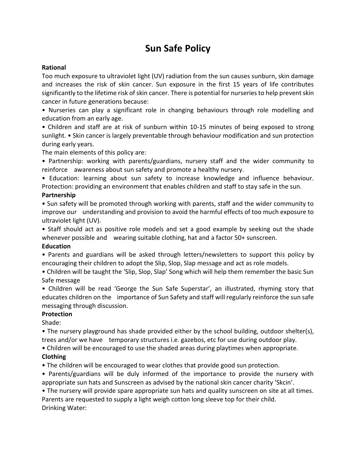# **Sun Safe Policy**

### **Rational**

Too much exposure to ultraviolet light (UV) radiation from the sun causes sunburn, skin damage and increases the risk of skin cancer. Sun exposure in the first 15 years of life contributes significantly to the lifetime risk of skin cancer. There is potential for nurseries to help prevent skin cancer in future generations because:

• Nurseries can play a significant role in changing behaviours through role modelling and education from an early age.

• Children and staff are at risk of sunburn within 10-15 minutes of being exposed to strong sunlight. • Skin cancer is largely preventable through behaviour modification and sun protection during early years.

The main elements of this policy are:

• Partnership: working with parents/guardians, nursery staff and the wider community to reinforce awareness about sun safety and promote a healthy nursery.

• Education: learning about sun safety to increase knowledge and influence behaviour. Protection: providing an environment that enables children and staff to stay safe in the sun.

#### **Partnership**

• Sun safety will be promoted through working with parents, staff and the wider community to improve our understanding and provision to avoid the harmful effects of too much exposure to ultraviolet light (UV).

• Staff should act as positive role models and set a good example by seeking out the shade whenever possible and wearing suitable clothing, hat and a factor 50+ sunscreen.

# **Education**

• Parents and guardians will be asked through letters/newsletters to support this policy by encouraging their children to adopt the Slip, Slop, Slap message and act as role models.

• Children will be taught the 'Slip, Slop, Slap' Song which will help them remember the basic Sun Safe message

• Children will be read 'George the Sun Safe Superstar', an illustrated, rhyming story that educates children on the importance of Sun Safety and staff will regularly reinforce the sun safe messaging through discussion.

# **Protection**

Shade:

• The nursery playground has shade provided either by the school building, outdoor shelter(s), trees and/or we have temporary structures i.e. gazebos, etc for use during outdoor play.

• Children will be encouraged to use the shaded areas during playtimes when appropriate.

# **Clothing**

• The children will be encouraged to wear clothes that provide good sun protection.

• Parents/guardians will be duly informed of the importance to provide the nursery with appropriate sun hats and Sunscreen as advised by the national skin cancer charity 'Skcin'.

• The nursery will provide spare appropriate sun hats and quality sunscreen on site at all times. Parents are requested to supply a light weigh cotton long sleeve top for their child. Drinking Water: